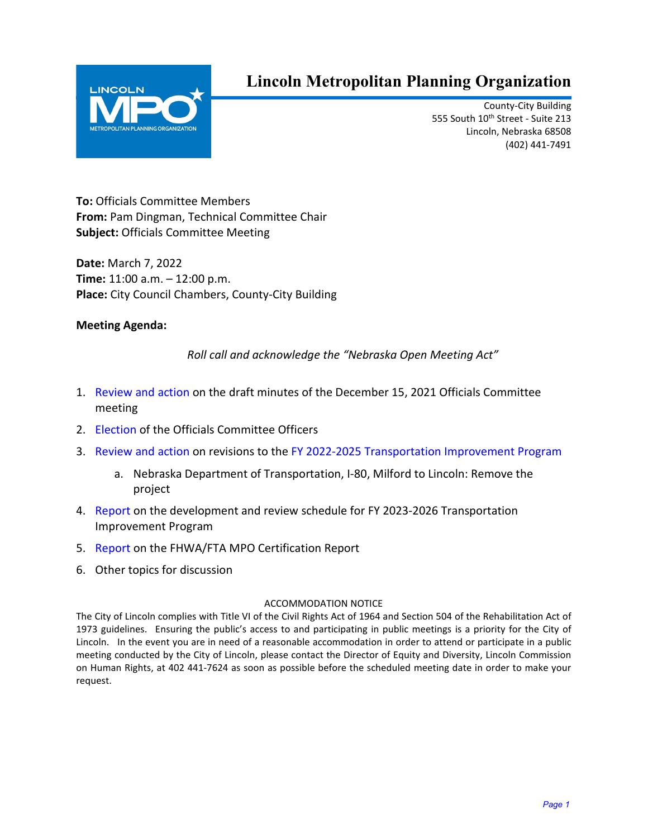<span id="page-0-0"></span>

# **Lincoln Metropolitan Planning Organization**

County-City Building 555 South 10th Street - Suite 213 Lincoln, Nebraska 68508 (402) 441-7491

**To:** Officials Committee Members **From:** Pam Dingman, Technical Committee Chair **Subject:** Officials Committee Meeting

**Date:** March 7, 2022 **Time:** 11:00 a.m. – 12:00 p.m. **Place:** City Council Chambers, County-City Building

## **Meeting Agenda:**

*Roll call and acknowledge the "Nebraska Open Meeting Act"*

- 1. [Review and action](#page-1-0) on the draft minutes of the December 15, 2021 Officials Committee meeting
- 2. [Election](#page-5-0) of the Officials Committee Officers
- 3. [Review and action](#page-6-0) on revisions to the [FY 2022-2025 Transportation Improvement Program](https://www.lincoln.ne.gov/City/Departments/Planning-Department/MPO/TIP)
	- a. Nebraska Department of Transportation, I-80, Milford to Lincoln: Remove the project
- 4. [Report](#page-9-0) on the development and review schedule for FY 2023-2026 Transportation Improvement Program
- 5. [Report](#page-11-0) on the FHWA/FTA MPO Certification Report
- 6. Other topics for discussion

#### ACCOMMODATION NOTICE

The City of Lincoln complies with Title VI of the Civil Rights Act of 1964 and Section 504 of the Rehabilitation Act of 1973 guidelines. Ensuring the public's access to and participating in public meetings is a priority for the City of Lincoln. In the event you are in need of a reasonable accommodation in order to attend or participate in a public meeting conducted by the City of Lincoln, please contact the Director of Equity and Diversity, Lincoln Commission on Human Rights, at 402 441-7624 as soon as possible before the scheduled meeting date in order to make your request.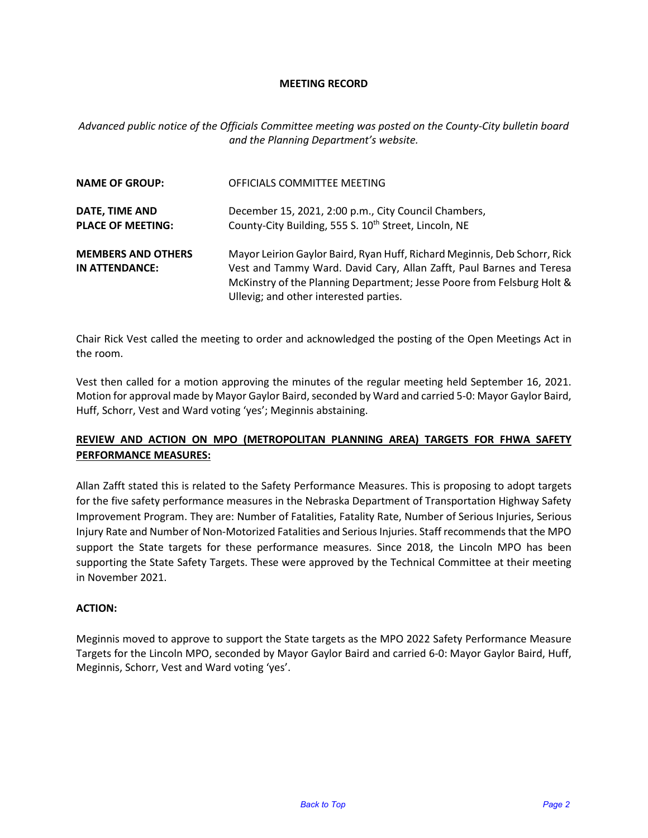#### **MEETING RECORD**

<span id="page-1-0"></span>*Advanced public notice of the Officials Committee meeting was posted on the County-City bulletin board and the Planning Department's website.*

| <b>NAME OF GROUP:</b>                       | OFFICIALS COMMITTEE MEETING                                                                                                                                                                                                                                           |  |  |  |  |
|---------------------------------------------|-----------------------------------------------------------------------------------------------------------------------------------------------------------------------------------------------------------------------------------------------------------------------|--|--|--|--|
| DATE, TIME AND<br><b>PLACE OF MEETING:</b>  | December 15, 2021, 2:00 p.m., City Council Chambers,<br>County-City Building, 555 S. 10 <sup>th</sup> Street, Lincoln, NE                                                                                                                                             |  |  |  |  |
| <b>MEMBERS AND OTHERS</b><br>IN ATTENDANCE: | Mayor Leirion Gaylor Baird, Ryan Huff, Richard Meginnis, Deb Schorr, Rick<br>Vest and Tammy Ward. David Cary, Allan Zafft, Paul Barnes and Teresa<br>McKinstry of the Planning Department; Jesse Poore from Felsburg Holt &<br>Ullevig; and other interested parties. |  |  |  |  |

Chair Rick Vest called the meeting to order and acknowledged the posting of the Open Meetings Act in the room.

Vest then called for a motion approving the minutes of the regular meeting held September 16, 2021. Motion for approval made by Mayor Gaylor Baird, seconded by Ward and carried 5-0: Mayor Gaylor Baird, Huff, Schorr, Vest and Ward voting 'yes'; Meginnis abstaining.

### **REVIEW AND ACTION ON MPO (METROPOLITAN PLANNING AREA) TARGETS FOR FHWA SAFETY PERFORMANCE MEASURES:**

Allan Zafft stated this is related to the Safety Performance Measures. This is proposing to adopt targets for the five safety performance measures in the Nebraska Department of Transportation Highway Safety Improvement Program. They are: Number of Fatalities, Fatality Rate, Number of Serious Injuries, Serious Injury Rate and Number of Non-Motorized Fatalities and Serious Injuries. Staff recommends that the MPO support the State targets for these performance measures. Since 2018, the Lincoln MPO has been supporting the State Safety Targets. These were approved by the Technical Committee at their meeting in November 2021.

#### **ACTION:**

Meginnis moved to approve to support the State targets as the MPO 2022 Safety Performance Measure Targets for the Lincoln MPO, seconded by Mayor Gaylor Baird and carried 6-0: Mayor Gaylor Baird, Huff, Meginnis, Schorr, Vest and Ward voting 'yes'.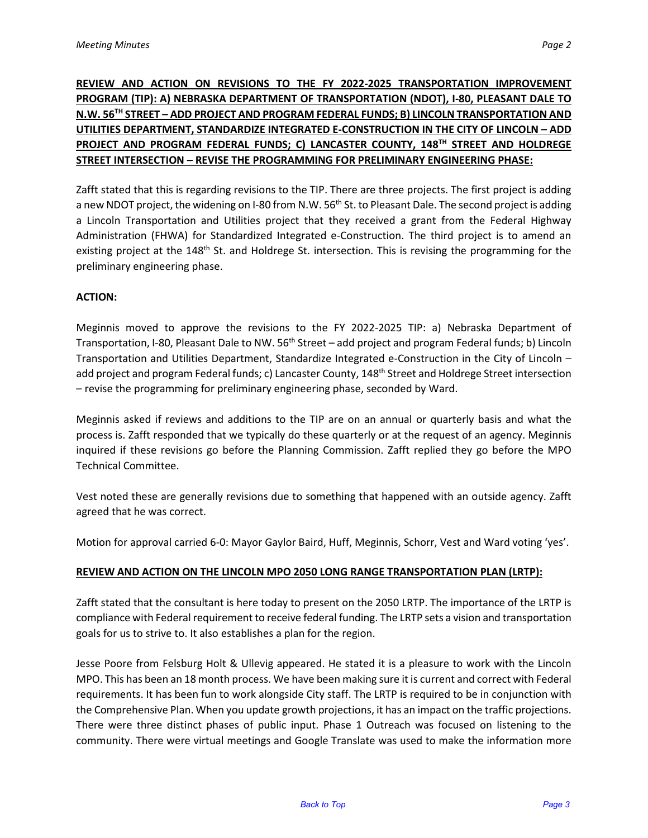# **REVIEW AND ACTION ON REVISIONS TO THE FY 2022-2025 TRANSPORTATION IMPROVEMENT PROGRAM (TIP): A) NEBRASKA DEPARTMENT OF TRANSPORTATION (NDOT), I-80, PLEASANT DALE TO N.W. 56TH STREET – ADD PROJECT AND PROGRAM FEDERAL FUNDS; B) LINCOLN TRANSPORTATION AND UTILITIES DEPARTMENT, STANDARDIZE INTEGRATED E-CONSTRUCTION IN THE CITY OF LINCOLN – ADD PROJECT AND PROGRAM FEDERAL FUNDS; C) LANCASTER COUNTY, 148TH STREET AND HOLDREGE STREET INTERSECTION – REVISE THE PROGRAMMING FOR PRELIMINARY ENGINEERING PHASE:**

Zafft stated that this is regarding revisions to the TIP. There are three projects. The first project is adding a new NDOT project, the widening on I-80 from N.W. 56<sup>th</sup> St. to Pleasant Dale. The second project is adding a Lincoln Transportation and Utilities project that they received a grant from the Federal Highway Administration (FHWA) for Standardized Integrated e-Construction. The third project is to amend an existing project at the 148<sup>th</sup> St. and Holdrege St. intersection. This is revising the programming for the preliminary engineering phase.

#### **ACTION:**

Meginnis moved to approve the revisions to the FY 2022-2025 TIP: a) Nebraska Department of Transportation, I-80, Pleasant Dale to NW. 56<sup>th</sup> Street – add project and program Federal funds; b) Lincoln Transportation and Utilities Department, Standardize Integrated e-Construction in the City of Lincoln – add project and program Federal funds; c) Lancaster County, 148<sup>th</sup> Street and Holdrege Street intersection – revise the programming for preliminary engineering phase, seconded by Ward.

Meginnis asked if reviews and additions to the TIP are on an annual or quarterly basis and what the process is. Zafft responded that we typically do these quarterly or at the request of an agency. Meginnis inquired if these revisions go before the Planning Commission. Zafft replied they go before the MPO Technical Committee.

Vest noted these are generally revisions due to something that happened with an outside agency. Zafft agreed that he was correct.

Motion for approval carried 6-0: Mayor Gaylor Baird, Huff, Meginnis, Schorr, Vest and Ward voting 'yes'.

#### **REVIEW AND ACTION ON THE LINCOLN MPO 2050 LONG RANGE TRANSPORTATION PLAN (LRTP):**

Zafft stated that the consultant is here today to present on the 2050 LRTP. The importance of the LRTP is compliance with Federal requirement to receive federal funding. The LRTP sets a vision and transportation goals for us to strive to. It also establishes a plan for the region.

Jesse Poore from Felsburg Holt & Ullevig appeared. He stated it is a pleasure to work with the Lincoln MPO. This has been an 18 month process. We have been making sure it is current and correct with Federal requirements. It has been fun to work alongside City staff. The LRTP is required to be in conjunction with the Comprehensive Plan. When you update growth projections, it has an impact on the traffic projections. There were three distinct phases of public input. Phase 1 Outreach was focused on listening to the community. There were virtual meetings and Google Translate was used to make the information more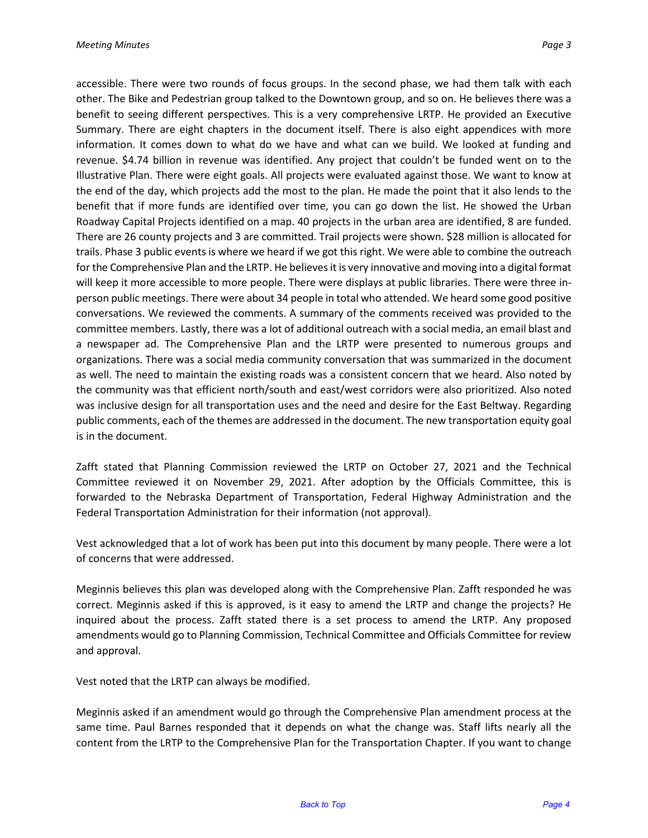accessible. There were two rounds of focus groups. In the second phase, we had them talk with each other. The Bike and Pedestrian group talked to the Downtown group, and so on. He believes there was a benefit to seeing different perspectives. This is a very comprehensive LRTP. He provided an Executive Summary. There are eight chapters in the document itself. There is also eight appendices with more information. It comes down to what do we have and what can we build. We looked at funding and revenue. \$4.74 billion in revenue was identified. Any project that couldn't be funded went on to the Illustrative Plan. There were eight goals. All projects were evaluated against those. We want to know at the end of the day, which projects add the most to the plan. He made the point that it also lends to the benefit that if more funds are identified over time, you can go down the list. He showed the Urban Roadway Capital Projects identified on a map. 40 projects in the urban area are identified, 8 are funded. There are 26 county projects and 3 are committed. Trail projects were shown. \$28 million is allocated for trails. Phase 3 public events is where we heard if we got this right. We were able to combine the outreach for the Comprehensive Plan and the LRTP. He believes it is very innovative and moving into a digital format will keep it more accessible to more people. There were displays at public libraries. There were three inperson public meetings. There were about 34 people in total who attended. We heard some good positive conversations. We reviewed the comments. A summary of the comments received was provided to the committee members. Lastly, there was a lot of additional outreach with a social media, an email blast and a newspaper ad. The Comprehensive Plan and the LRTP were presented to numerous groups and organizations. There was a social media community conversation that was summarized in the document as well. The need to maintain the existing roads was a consistent concern that we heard. Also noted by the community was that efficient north/south and east/west corridors were also prioritized. Also noted was inclusive design for all transportation uses and the need and desire for the East Beltway. Regarding public comments, each of the themes are addressed in the document. The new transportation equity goal is in the document.

Zafft stated that Planning Commission reviewed the LRTP on October 27, 2021 and the Technical Committee reviewed it on November 29, 2021. After adoption by the Officials Committee, this is forwarded to the Nebraska Department of Transportation, Federal Highway Administration and the Federal Transportation Administration for their information (not approval).

Vest acknowledged that a lot of work has been put into this document by many people. There were a lot of concerns that were addressed.

Meginnis believes this plan was developed along with the Comprehensive Plan. Zafft responded he was correct. Meginnis asked if this is approved, is it easy to amend the LRTP and change the projects? He inquired about the process. Zafft stated there is a set process to amend the LRTP. Any proposed amendments would go to Planning Commission, Technical Committee and Officials Committee for review and approval.

Vest noted that the LRTP can always be modified.

Meginnis asked if an amendment would go through the Comprehensive Plan amendment process at the same time. Paul Barnes responded that it depends on what the change was. Staff lifts nearly all the content from the LRTP to the Comprehensive Plan for the Transportation Chapter. If you want to change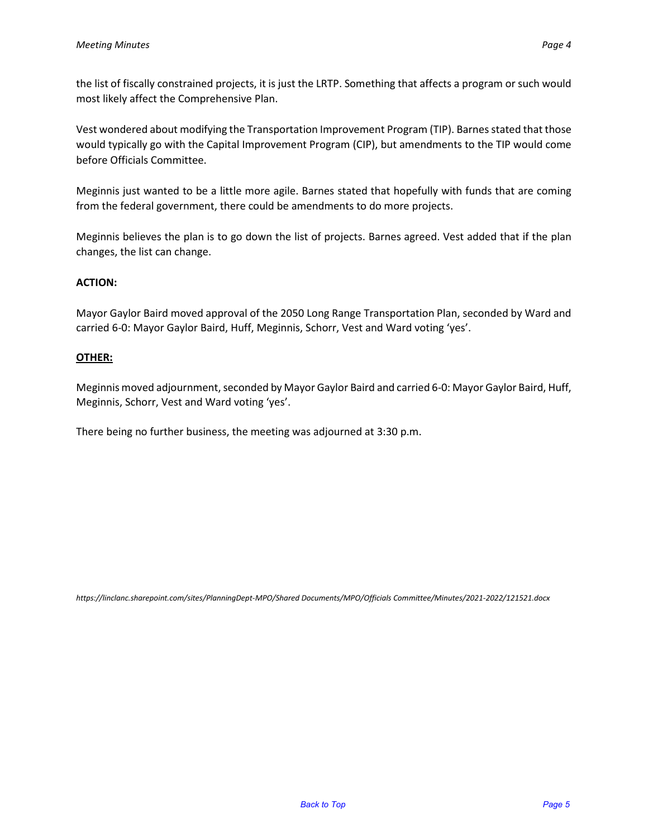the list of fiscally constrained projects, it is just the LRTP. Something that affects a program or such would most likely affect the Comprehensive Plan.

Vest wondered about modifying the Transportation Improvement Program (TIP). Barnes stated that those would typically go with the Capital Improvement Program (CIP), but amendments to the TIP would come before Officials Committee.

Meginnis just wanted to be a little more agile. Barnes stated that hopefully with funds that are coming from the federal government, there could be amendments to do more projects.

Meginnis believes the plan is to go down the list of projects. Barnes agreed. Vest added that if the plan changes, the list can change.

### **ACTION:**

Mayor Gaylor Baird moved approval of the 2050 Long Range Transportation Plan, seconded by Ward and carried 6-0: Mayor Gaylor Baird, Huff, Meginnis, Schorr, Vest and Ward voting 'yes'.

#### **OTHER:**

Meginnis moved adjournment, seconded by Mayor Gaylor Baird and carried 6-0: Mayor Gaylor Baird, Huff, Meginnis, Schorr, Vest and Ward voting 'yes'.

There being no further business, the meeting was adjourned at 3:30 p.m.

*https://linclanc.sharepoint.com/sites/PlanningDept-MPO/Shared Documents/MPO/Officials Committee/Minutes/2021-2022/121521.docx*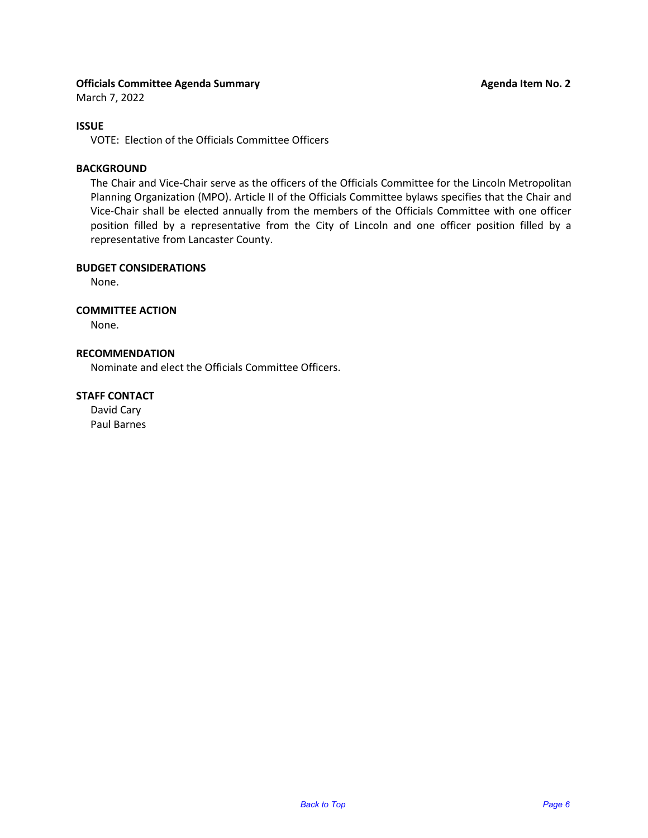#### <span id="page-5-0"></span>**Officials Committee Agenda Summary Agenda Item No. 2 Agenda Item No. 2 Agenda Item No. 2**

#### **ISSUE**

VOTE: Election of the Officials Committee Officers

#### **BACKGROUND**

The Chair and Vice-Chair serve as the officers of the Officials Committee for the Lincoln Metropolitan Planning Organization (MPO). Article II of the Officials Committee bylaws specifies that the Chair and Vice-Chair shall be elected annually from the members of the Officials Committee with one officer position filled by a representative from the City of Lincoln and one officer position filled by a representative from Lancaster County.

#### **BUDGET CONSIDERATIONS**

None.

#### **COMMITTEE ACTION**

None.

#### **RECOMMENDATION**

Nominate and elect the Officials Committee Officers.

#### **STAFF CONTACT**

David Cary Paul Barnes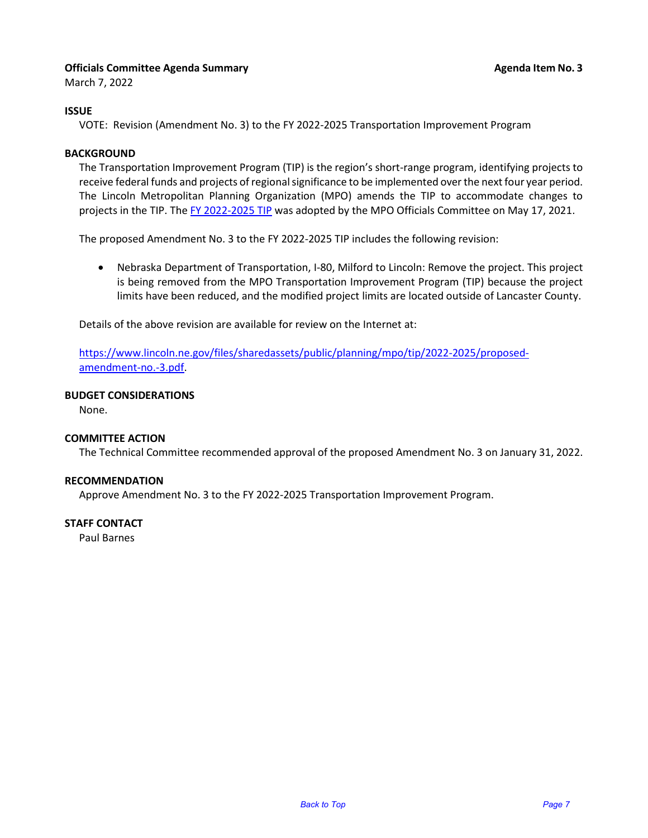#### <span id="page-6-0"></span>**Officials Committee Agenda Summary Agenta Item No. 3 Agenda Item No. 3**

March 7, 2022

#### **ISSUE**

VOTE: Revision (Amendment No. 3) to the FY 2022-2025 Transportation Improvement Program

#### **BACKGROUND**

The Transportation Improvement Program (TIP) is the region's short-range program, identifying projects to receive federal funds and projects of regional significance to be implemented over the next four year period. The Lincoln Metropolitan Planning Organization (MPO) amends the TIP to accommodate changes to projects in the TIP. Th[e FY 2022-2025 TIP](https://www.lincoln.ne.gov/City/Departments/Planning-Department/MPO/TIP) was adopted by the MPO Officials Committee on May 17, 2021.

The proposed Amendment No. 3 to the FY 2022-2025 TIP includes the following revision:

• Nebraska Department of Transportation, I-80, Milford to Lincoln: Remove the project. This project is being removed from the MPO Transportation Improvement Program (TIP) because the project limits have been reduced, and the modified project limits are located outside of Lancaster County.

Details of the above revision are available for review on the Internet at:

[https://www.lincoln.ne.gov/files/sharedassets/public/planning/mpo/tip/2022-2025/proposed](https://www.lincoln.ne.gov/files/sharedassets/public/planning/mpo/tip/2022-2025/proposed-amendment-no.-3.pdf)[amendment-no.-3.pdf.](https://www.lincoln.ne.gov/files/sharedassets/public/planning/mpo/tip/2022-2025/proposed-amendment-no.-3.pdf)

#### **BUDGET CONSIDERATIONS**

None.

#### **COMMITTEE ACTION**

The Technical Committee recommended approval of the proposed Amendment No. 3 on January 31, 2022.

#### **RECOMMENDATION**

Approve Amendment No. 3 to the FY 2022-2025 Transportation Improvement Program.

#### **STAFF CONTACT**

Paul Barnes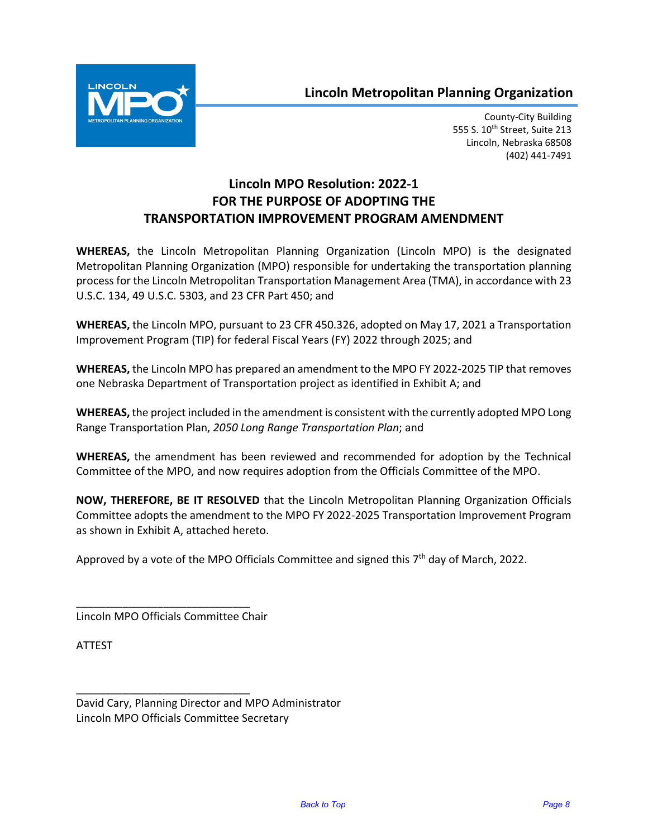# **Lincoln Metropolitan Planning Organization**



County-City Building 555 S. 10<sup>th</sup> Street, Suite 213 Lincoln, Nebraska 68508 (402) 441-7491

# **Lincoln MPO Resolution: 2022-1 FOR THE PURPOSE OF ADOPTING THE TRANSPORTATION IMPROVEMENT PROGRAM AMENDMENT**

**WHEREAS,** the Lincoln Metropolitan Planning Organization (Lincoln MPO) is the designated Metropolitan Planning Organization (MPO) responsible for undertaking the transportation planning process for the Lincoln Metropolitan Transportation Management Area (TMA), in accordance with 23 U.S.C. 134, 49 U.S.C. 5303, and 23 CFR Part 450; and

**WHEREAS,** the Lincoln MPO, pursuant to 23 CFR 450.326, adopted on May 17, 2021 a Transportation Improvement Program (TIP) for federal Fiscal Years (FY) 2022 through 2025; and

**WHEREAS,** the Lincoln MPO has prepared an amendment to the MPO FY 2022-2025 TIP that removes one Nebraska Department of Transportation project as identified in Exhibit A; and

**WHEREAS,** the project included in the amendment is consistent with the currently adopted MPO Long Range Transportation Plan, *2050 Long Range Transportation Plan*; and

**WHEREAS,** the amendment has been reviewed and recommended for adoption by the Technical Committee of the MPO, and now requires adoption from the Officials Committee of the MPO.

**NOW, THEREFORE, BE IT RESOLVED** that the Lincoln Metropolitan Planning Organization Officials Committee adopts the amendment to the MPO FY 2022-2025 Transportation Improvement Program as shown in Exhibit A, attached hereto.

Approved by a vote of the MPO Officials Committee and signed this 7<sup>th</sup> day of March, 2022.

Lincoln MPO Officials Committee Chair

\_\_\_\_\_\_\_\_\_\_\_\_\_\_\_\_\_\_\_\_\_\_\_\_\_\_\_\_\_\_

\_\_\_\_\_\_\_\_\_\_\_\_\_\_\_\_\_\_\_\_\_\_\_\_\_\_\_\_\_\_

ATTEST

David Cary, Planning Director and MPO Administrator Lincoln MPO Officials Committee Secretary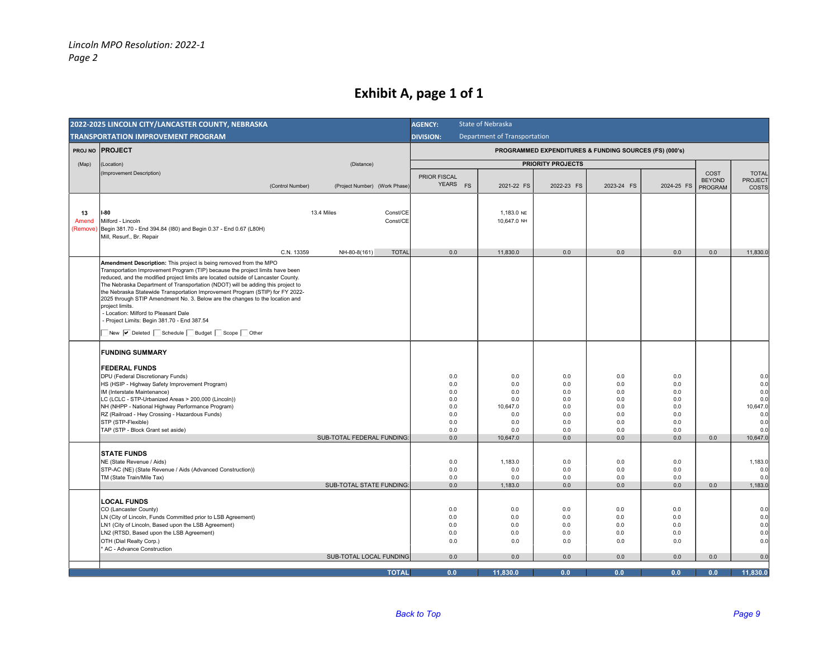# **Exhibit A, page 1 of 1**

| 2022-2025 LINCOLN CITY/LANCASTER COUNTY, NEBRASKA |                                                                                                                                                                                                                                                                                                                                                                                                                                                                                                                                                                                                                                                    |                                                             | State of Nebraska                                                     |                                                             |                                                             |                                                             |                       |                                                                       |
|---------------------------------------------------|----------------------------------------------------------------------------------------------------------------------------------------------------------------------------------------------------------------------------------------------------------------------------------------------------------------------------------------------------------------------------------------------------------------------------------------------------------------------------------------------------------------------------------------------------------------------------------------------------------------------------------------------------|-------------------------------------------------------------|-----------------------------------------------------------------------|-------------------------------------------------------------|-------------------------------------------------------------|-------------------------------------------------------------|-----------------------|-----------------------------------------------------------------------|
| <b>TRANSPORTATION IMPROVEMENT PROGRAM</b>         |                                                                                                                                                                                                                                                                                                                                                                                                                                                                                                                                                                                                                                                    |                                                             | <b>Department of Transportation</b><br><b>DIVISION:</b>               |                                                             |                                                             |                                                             |                       |                                                                       |
|                                                   | <b>PROJ NO PROJECT</b>                                                                                                                                                                                                                                                                                                                                                                                                                                                                                                                                                                                                                             |                                                             | PROGRAMMED EXPENDITURES & FUNDING SOURCES (FS) (000's)                |                                                             |                                                             |                                                             |                       |                                                                       |
| (Map)                                             | (Location)<br>(Distance)                                                                                                                                                                                                                                                                                                                                                                                                                                                                                                                                                                                                                           |                                                             | <b>PRIORITY PROJECTS</b>                                              |                                                             |                                                             |                                                             |                       |                                                                       |
|                                                   | (Improvement Description)                                                                                                                                                                                                                                                                                                                                                                                                                                                                                                                                                                                                                          | <b>PRIOR FISCAL</b>                                         |                                                                       |                                                             |                                                             |                                                             | COST<br><b>BEYOND</b> | <b>TOTAL</b><br>PROJECT                                               |
|                                                   | (Control Number)<br>(Project Number) (Work Phase)                                                                                                                                                                                                                                                                                                                                                                                                                                                                                                                                                                                                  | YEARS FS                                                    | 2021-22 FS                                                            | 2022-23 FS                                                  | 2023-24 FS                                                  | 2024-25 FS                                                  | PROGRAM               | COSTS                                                                 |
| 13<br>Amend<br>(Remove)                           | $I-80$<br>13.4 Miles<br>Const/CE<br>Const/CE<br>Milford - Lincoln<br>Begin 381.70 - End 394.84 (I80) and Begin 0.37 - End 0.67 (L80H)<br>Mill, Resurf., Br. Repair                                                                                                                                                                                                                                                                                                                                                                                                                                                                                 |                                                             | 1,183.0 NE<br>10,647.0 NH                                             |                                                             |                                                             |                                                             |                       |                                                                       |
|                                                   | C.N. 13359<br>NH-80-8(161)<br><b>TOTAL</b>                                                                                                                                                                                                                                                                                                                                                                                                                                                                                                                                                                                                         | 0.0                                                         | 11,830.0                                                              | 0.0                                                         | 0.0                                                         | 0.0                                                         | 0.0                   | 11,830.0                                                              |
|                                                   | Amendment Description: This project is being removed from the MPO<br>Transportation Improvement Program (TIP) because the project limits have been<br>reduced, and the modified project limits are located outside of Lancaster County.<br>The Nebraska Department of Transportation (NDOT) will be adding this project to<br>the Nebraska Statewide Transportation Improvement Program (STIP) for FY 2022-<br>2025 through STIP Amendment No. 3. Below are the changes to the location and<br>project limits.<br>- Location: Milford to Pleasant Dale<br>- Project Limits: Begin 381.70 - End 387.54<br>New V Deleted Schedule Budget Scope Other |                                                             |                                                                       |                                                             |                                                             |                                                             |                       |                                                                       |
|                                                   |                                                                                                                                                                                                                                                                                                                                                                                                                                                                                                                                                                                                                                                    |                                                             |                                                                       |                                                             |                                                             |                                                             |                       |                                                                       |
|                                                   | <b>FUNDING SUMMARY</b><br><b>FEDERAL FUNDS</b><br>DPU (Federal Discretionary Funds)<br>HS (HSIP - Highway Safety Improvement Program)<br>IM (Interstate Maintenance)<br>LC (LCLC - STP-Urbanized Areas > 200,000 (Lincoln))<br>NH (NHPP - National Highway Performance Program)<br>RZ (Railroad - Hwy Crossing - Hazardous Funds)<br>STP (STP-Flexible)<br>TAP (STP - Block Grant set aside)<br>SUB-TOTAL FEDERAL FUNDING:                                                                                                                                                                                                                         | 0.0<br>0.0<br>0.0<br>0.0<br>0.0<br>0.0<br>0.0<br>0.0<br>0.0 | 0.0<br>0.0<br>0.0<br>0.0<br>10.647.0<br>0.0<br>0.0<br>0.0<br>10,647.0 | 0.0<br>0.0<br>0.0<br>0.0<br>0.0<br>0.0<br>0.0<br>0.0<br>0.0 | 0.0<br>0.0<br>0.0<br>0.0<br>0.0<br>0.0<br>0.0<br>0.0<br>0.0 | 0.0<br>0.0<br>0.0<br>0.0<br>0.0<br>0.0<br>0.0<br>0.0<br>0.0 | 0.0                   | 0.0<br>0.0<br>0.0<br>0.0<br>10,647.0<br>0.0<br>0.0<br>0.0<br>10,647.0 |
|                                                   |                                                                                                                                                                                                                                                                                                                                                                                                                                                                                                                                                                                                                                                    |                                                             |                                                                       |                                                             |                                                             |                                                             |                       |                                                                       |
|                                                   | <b>STATE FUNDS</b><br>NE (State Revenue / Aids)<br>STP-AC (NE) (State Revenue / Aids (Advanced Construction))<br>TM (State Train/Mile Tax)<br><b>SUB-TOTAL STATE FUNDING:</b>                                                                                                                                                                                                                                                                                                                                                                                                                                                                      | 0.0<br>0.0<br>0.0<br>0.0                                    | 1.183.0<br>0.0<br>0.0<br>1,183.0                                      | 0.0<br>0.0<br>0.0<br>0.0                                    | 0.0<br>0.0<br>0.0<br>0.0                                    | 0.0<br>0.0<br>0.0<br>0.0                                    | 0.0                   | 1,183.0<br>0.0<br>0.0<br>1,183.0                                      |
|                                                   |                                                                                                                                                                                                                                                                                                                                                                                                                                                                                                                                                                                                                                                    |                                                             |                                                                       |                                                             |                                                             |                                                             |                       |                                                                       |
|                                                   | <b>LOCAL FUNDS</b><br>CO (Lancaster County)<br>LN (City of Lincoln, Funds Committed prior to LSB Agreement)<br>LN1 (City of Lincoln, Based upon the LSB Agreement)<br>LN2 (RTSD, Based upon the LSB Agreement)<br>OTH (Dial Realty Corp.)<br>AC - Advance Construction                                                                                                                                                                                                                                                                                                                                                                             | 0.0<br>0.0<br>0.0<br>0.0<br>0.0                             | 0.0<br>0.0<br>0.0<br>0.0<br>0.0                                       | 0.0<br>0.0<br>0.0<br>0.0<br>0.0                             | 0.0<br>0.0<br>0.0<br>0.0<br>0.0                             | 0.0<br>0.0<br>0.0<br>0.0<br>0.0                             |                       | 0.0<br>0.0<br>0.0<br>0.0<br>0.0                                       |
|                                                   | SUB-TOTAL LOCAL FUNDING                                                                                                                                                                                                                                                                                                                                                                                                                                                                                                                                                                                                                            | 0.0                                                         | 0.0                                                                   | 0.0                                                         | 0.0                                                         | 0.0                                                         | 0.0                   | 0.0                                                                   |
|                                                   | <b>TOTAL</b>                                                                                                                                                                                                                                                                                                                                                                                                                                                                                                                                                                                                                                       | 0.0                                                         | 11,830.0                                                              | 0.0                                                         | 0.0                                                         | 0.0                                                         | 0.0                   | 11,830.0                                                              |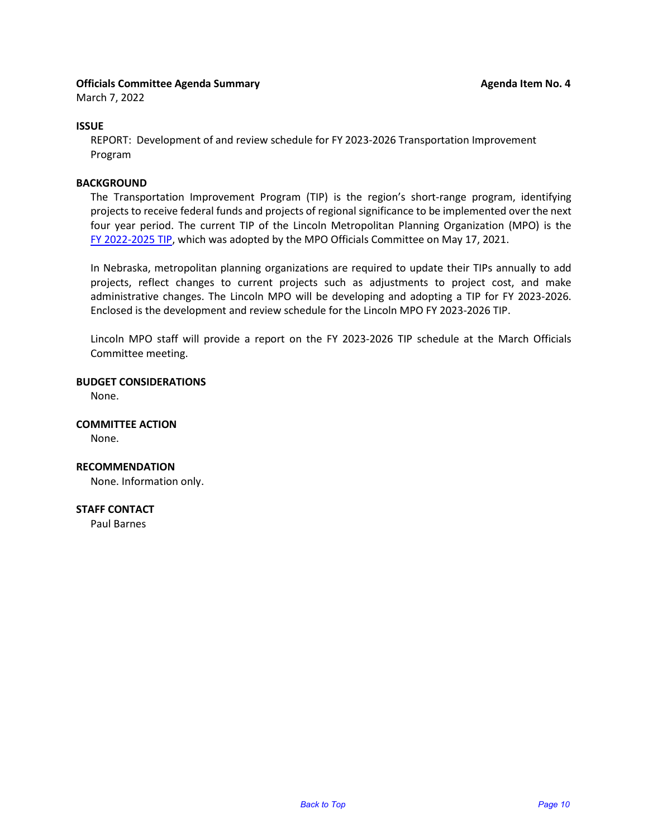#### <span id="page-9-0"></span>**Officials Committee Agenda Summary Agent Agent Agenda Item No. 4 Agenda Item No. 4**

March 7, 2022

#### **ISSUE**

REPORT: Development of and review schedule for FY 2023-2026 Transportation Improvement Program

#### **BACKGROUND**

The Transportation Improvement Program (TIP) is the region's short-range program, identifying projects to receive federal funds and projects of regional significance to be implemented over the next four year period. The current TIP of the Lincoln Metropolitan Planning Organization (MPO) is the [FY 2022-2025 TIP,](https://www.lincoln.ne.gov/City/Departments/Planning-Department/MPO/TIP) which was adopted by the MPO Officials Committee on May 17, 2021.

In Nebraska, metropolitan planning organizations are required to update their TIPs annually to add projects, reflect changes to current projects such as adjustments to project cost, and make administrative changes. The Lincoln MPO will be developing and adopting a TIP for FY 2023-2026. Enclosed is the development and review schedule for the Lincoln MPO FY 2023-2026 TIP.

Lincoln MPO staff will provide a report on the FY 2023-2026 TIP schedule at the March Officials Committee meeting.

**BUDGET CONSIDERATIONS**

None.

**COMMITTEE ACTION** None.

**RECOMMENDATION** None. Information only.

**STAFF CONTACT**

Paul Barnes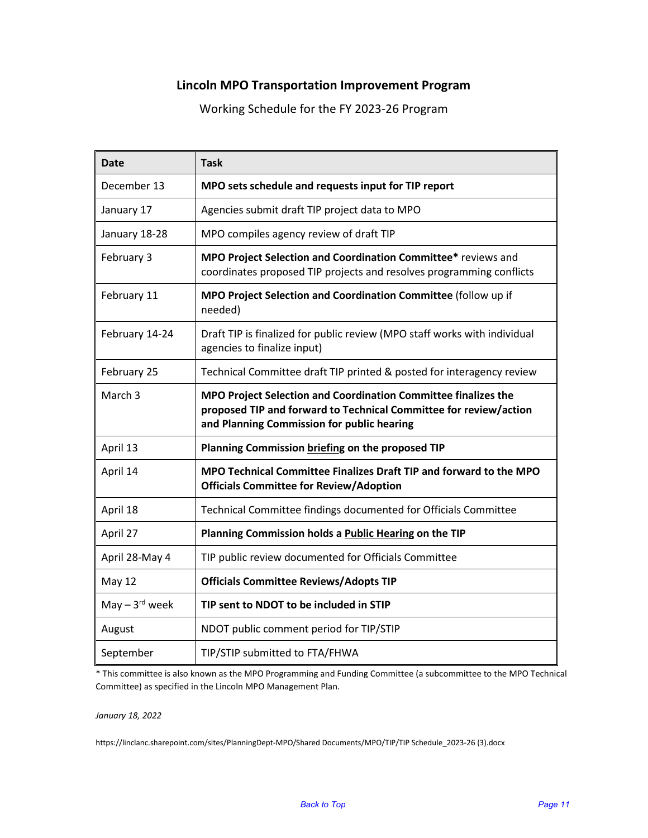# **Lincoln MPO Transportation Improvement Program**

Working Schedule for the FY 2023-26 Program

| <b>Date</b>                 | <b>Task</b>                                                                                                                                                                       |
|-----------------------------|-----------------------------------------------------------------------------------------------------------------------------------------------------------------------------------|
| December 13                 | MPO sets schedule and requests input for TIP report                                                                                                                               |
| January 17                  | Agencies submit draft TIP project data to MPO                                                                                                                                     |
| January 18-28               | MPO compiles agency review of draft TIP                                                                                                                                           |
| February 3                  | MPO Project Selection and Coordination Committee* reviews and<br>coordinates proposed TIP projects and resolves programming conflicts                                             |
| February 11                 | MPO Project Selection and Coordination Committee (follow up if<br>needed)                                                                                                         |
| February 14-24              | Draft TIP is finalized for public review (MPO staff works with individual<br>agencies to finalize input)                                                                          |
| February 25                 | Technical Committee draft TIP printed & posted for interagency review                                                                                                             |
| March <sub>3</sub>          | MPO Project Selection and Coordination Committee finalizes the<br>proposed TIP and forward to Technical Committee for review/action<br>and Planning Commission for public hearing |
| April 13                    | Planning Commission briefing on the proposed TIP                                                                                                                                  |
| April 14                    | MPO Technical Committee Finalizes Draft TIP and forward to the MPO<br><b>Officials Committee for Review/Adoption</b>                                                              |
| April 18                    | Technical Committee findings documented for Officials Committee                                                                                                                   |
| April 27                    | Planning Commission holds a Public Hearing on the TIP                                                                                                                             |
| April 28-May 4              | TIP public review documented for Officials Committee                                                                                                                              |
| <b>May 12</b>               | <b>Officials Committee Reviews/Adopts TIP</b>                                                                                                                                     |
| May $-3$ <sup>rd</sup> week | TIP sent to NDOT to be included in STIP                                                                                                                                           |
| August                      | NDOT public comment period for TIP/STIP                                                                                                                                           |
| September                   | TIP/STIP submitted to FTA/FHWA                                                                                                                                                    |

\* This committee is also known as the MPO Programming and Funding Committee (a subcommittee to the MPO Technical Committee) as specified in the Lincoln MPO Management Plan.

*January 18, 2022*

https://linclanc.sharepoint.com/sites/PlanningDept-MPO/Shared Documents/MPO/TIP/TIP Schedule\_2023-26 (3).docx